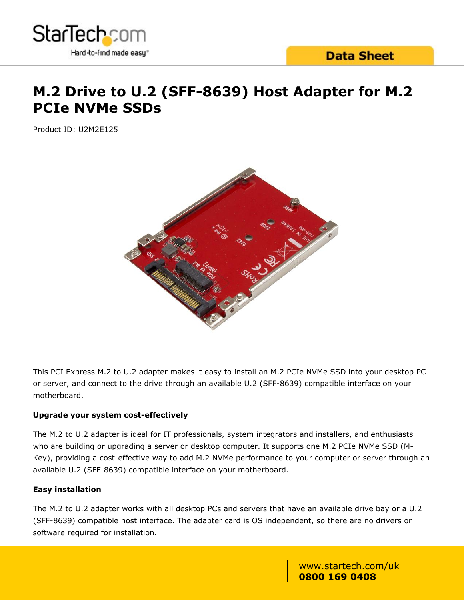

# **M.2 Drive to U.2 (SFF-8639) Host Adapter for M.2 PCIe NVMe SSDs**

Product ID: U2M2E125



This PCI Express M.2 to U.2 adapter makes it easy to install an M.2 PCIe NVMe SSD into your desktop PC or server, and connect to the drive through an available U.2 (SFF-8639) compatible interface on your motherboard.

### **Upgrade your system cost-effectively**

The M.2 to U.2 adapter is ideal for IT professionals, system integrators and installers, and enthusiasts who are building or upgrading a server or desktop computer. It supports one M.2 PCIe NVMe SSD (M-Key), providing a cost-effective way to add M.2 NVMe performance to your computer or server through an available U.2 (SFF-8639) compatible interface on your motherboard.

#### **Easy installation**

The M.2 to U.2 adapter works with all desktop PCs and servers that have an available drive bay or a U.2 (SFF-8639) compatible host interface. The adapter card is OS independent, so there are no drivers or software required for installation.

> www.startech.com/uk **0800 169 0408**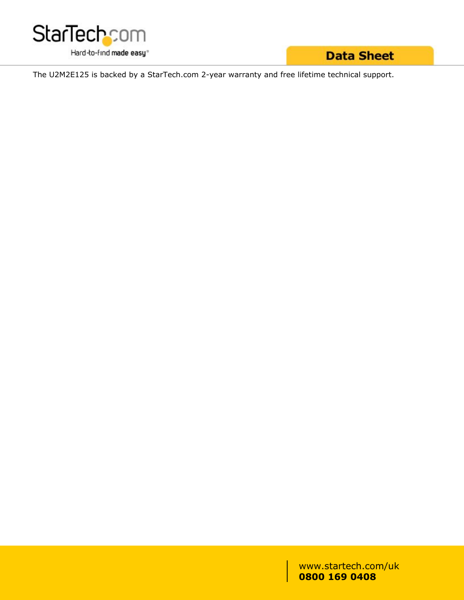

**Data Sheet** 

The U2M2E125 is backed by a StarTech.com 2-year warranty and free lifetime technical support.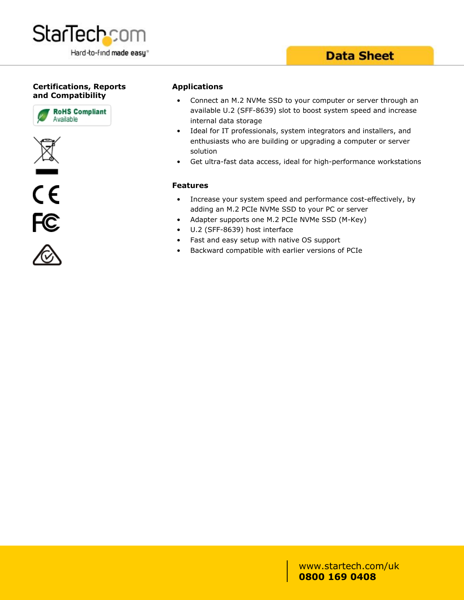

**StarTechcom** 

Hard-to-find made easy®









#### **Applications**

- Connect an M.2 NVMe SSD to your computer or server through an available U.2 (SFF-8639) slot to boost system speed and increase internal data storage
- Ideal for IT professionals, system integrators and installers, and enthusiasts who are building or upgrading a computer or server solution
- Get ultra-fast data access, ideal for high-performance workstations

#### **Features**

- Increase your system speed and performance cost-effectively, by adding an M.2 PCIe NVMe SSD to your PC or server
- Adapter supports one M.2 PCIe NVMe SSD (M-Key)
- U.2 (SFF-8639) host interface
- Fast and easy setup with native OS support
- Backward compatible with earlier versions of PCIe